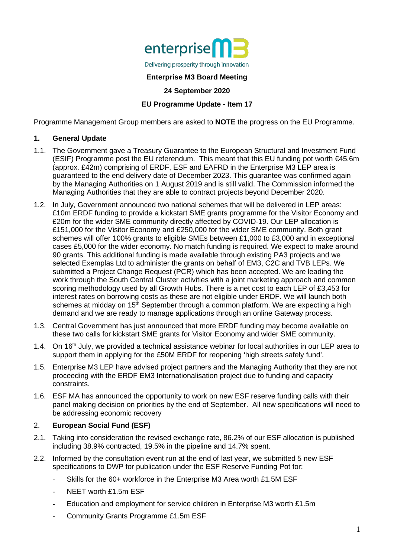

# **Enterprise M3 Board Meeting**

#### **24 September 2020**

## **EU Programme Update - Item 17**

Programme Management Group members are asked to **NOTE** the progress on the EU Programme.

#### **1. General Update**

- 1.1. The Government gave a Treasury Guarantee to the European Structural and Investment Fund (ESIF) Programme post the EU referendum. This meant that this EU funding pot worth €45.6m (approx. £42m) comprising of ERDF, ESF and EAFRD in the Enterprise M3 LEP area is guaranteed to the end delivery date of December 2023. This guarantee was confirmed again by the Managing Authorities on 1 August 2019 and is still valid. The Commission informed the Managing Authorities that they are able to contract projects beyond December 2020.
- 1.2. In July, Government announced two national schemes that will be delivered in LEP areas: £10m ERDF funding to provide a kickstart SME grants programme for the Visitor Economy and £20m for the wider SME community directly affected by COVID-19. Our LEP allocation is £151,000 for the Visitor Economy and £250,000 for the wider SME community. Both grant schemes will offer 100% grants to eligible SMEs between £1,000 to £3,000 and in exceptional cases £5,000 for the wider economy. No match funding is required. We expect to make around 90 grants. This additional funding is made available through existing PA3 projects and we selected Exemplas Ltd to administer the grants on behalf of EM3, C2C and TVB LEPs. We submitted a Project Change Request (PCR) which has been accepted. We are leading the work through the South Central Cluster activities with a joint marketing approach and common scoring methodology used by all Growth Hubs. There is a net cost to each LEP of £3,453 for interest rates on borrowing costs as these are not eligible under ERDF. We will launch both schemes at midday on 15<sup>th</sup> September through a common platform. We are expecting a high demand and we are ready to manage applications through an online Gateway process.
- 1.3. Central Government has just announced that more ERDF funding may become available on these two calls for kickstart SME grants for Visitor Economy and wider SME community.
- 1.4. On 16<sup>th</sup> July, we provided a technical assistance webinar for local authorities in our LEP area to support them in applying for the £50M ERDF for reopening 'high streets safely fund'.
- 1.5. Enterprise M3 LEP have advised project partners and the Managing Authority that they are not proceeding with the ERDF EM3 Internationalisation project due to funding and capacity constraints.
- 1.6. ESF MA has announced the opportunity to work on new ESF reserve funding calls with their panel making decision on priorities by the end of September. All new specifications will need to be addressing economic recovery

## 2. **European Social Fund (ESF)**

- 2.1. Taking into consideration the revised exchange rate, 86.2% of our ESF allocation is published including 38.9% contracted, 19.5% in the pipeline and 14.7% spent.
- 2.2. Informed by the consultation event run at the end of last year, we submitted 5 new ESF specifications to DWP for publication under the ESF Reserve Funding Pot for:
	- Skills for the 60+ workforce in the Enterprise M3 Area worth £1.5M ESF
	- NEET worth £1.5m ESF
	- Education and employment for service children in Enterprise M3 worth £1.5m
	- Community Grants Programme £1.5m ESF